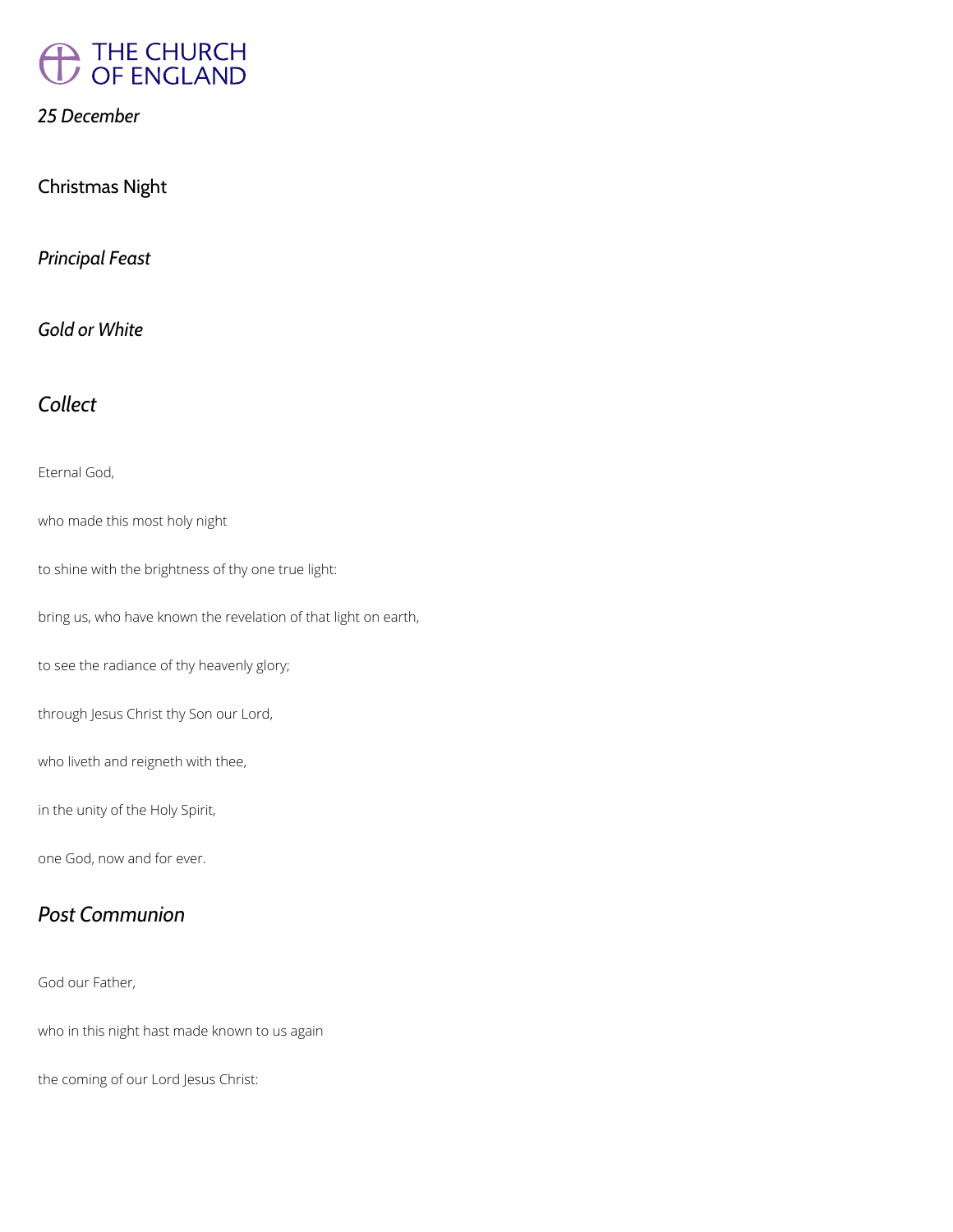

*25 December*

Christmas Night

*Principal Feast*

*Gold or White*

*Collect*

Eternal God,

who made this most holy night

to shine with the brightness of thy one true light:

bring us, who have known the revelation of that light on earth,

to see the radiance of thy heavenly glory;

through Jesus Christ thy Son our Lord,

who liveth and reigneth with thee,

in the unity of the Holy Spirit,

one God, now and for ever.

*Post Communion*

God our Father,

who in this night hast made known to us again

the coming of our Lord Jesus Christ: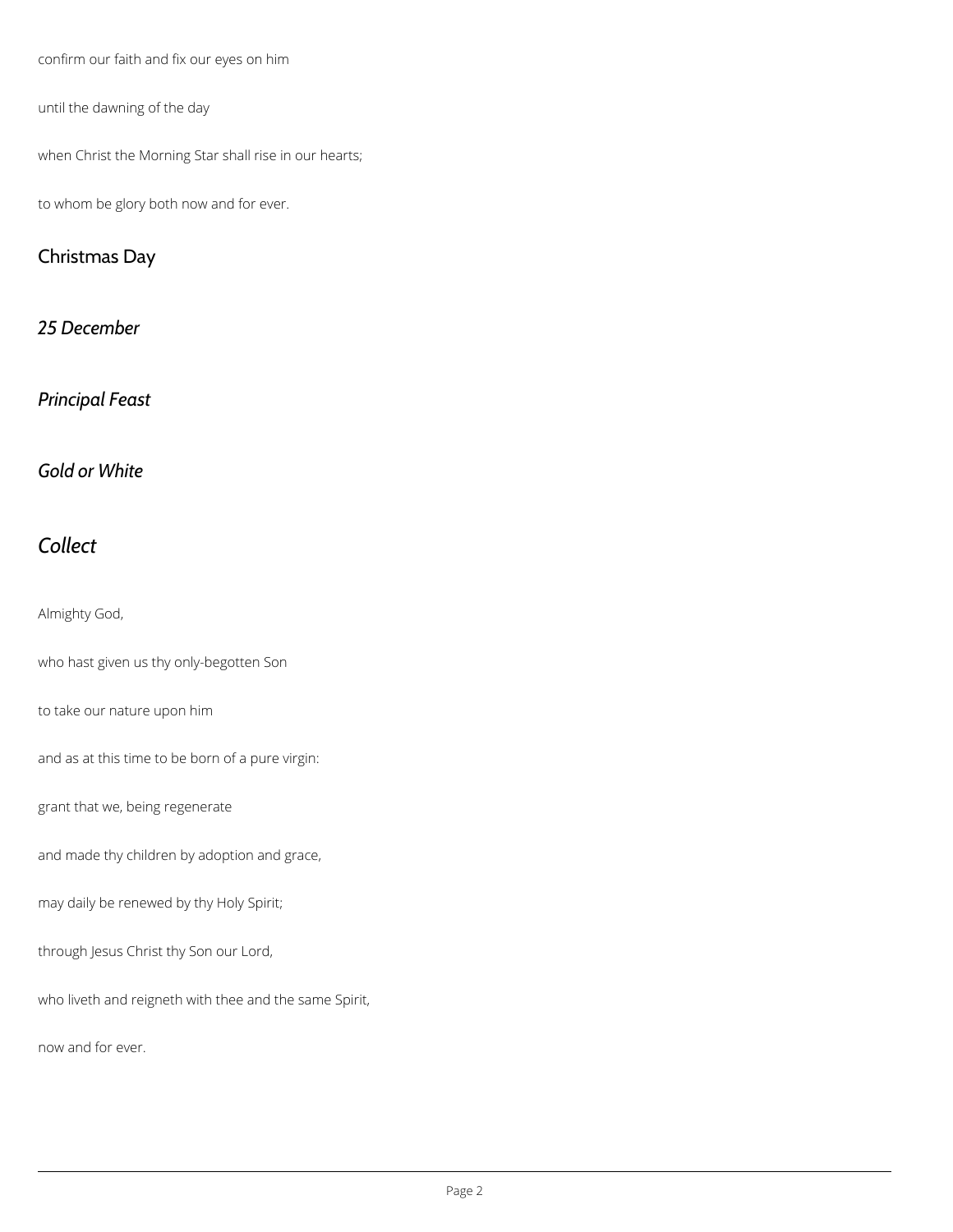confirm our faith and fix our eyes on him

until the dawning of the day

when Christ the Morning Star shall rise in our hearts;

to whom be glory both now and for ever.

# Christmas Day

*25 December*

## *Principal Feast*

*Gold or White*

# *Collect*

Almighty God,

who hast given us thy only-begotten Son

to take our nature upon him

and as at this time to be born of a pure virgin:

grant that we, being regenerate

and made thy children by adoption and grace,

may daily be renewed by thy Holy Spirit;

through Jesus Christ thy Son our Lord,

who liveth and reigneth with thee and the same Spirit,

now and for ever.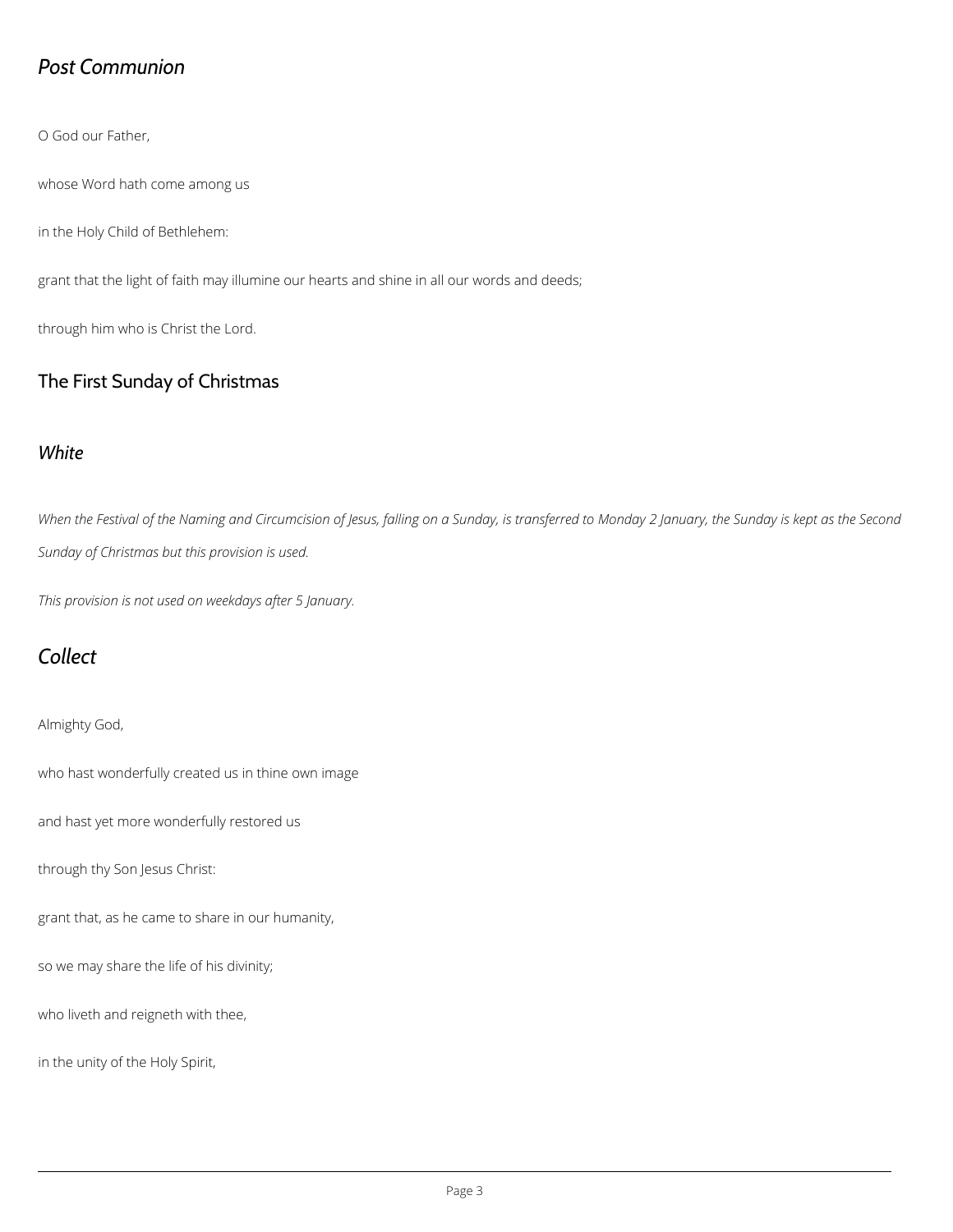# *Post Communion*

O God our Father,

whose Word hath come among us

in the Holy Child of Bethlehem:

grant that the light of faith may illumine our hearts and shine in all our words and deeds;

through him who is Christ the Lord.

#### The First Sunday of Christmas

#### *White*

*When the Festival of the Naming and Circumcision of Jesus, falling on a Sunday, is transferred to Monday 2 January, the Sunday is kept as the Second Sunday of Christmas but this provision is used.*

*This provision is not used on weekdays after 5 January.*

# *Collect*

Almighty God,

who hast wonderfully created us in thine own image

and hast yet more wonderfully restored us

through thy Son Jesus Christ:

grant that, as he came to share in our humanity,

so we may share the life of his divinity;

who liveth and reigneth with thee,

in the unity of the Holy Spirit,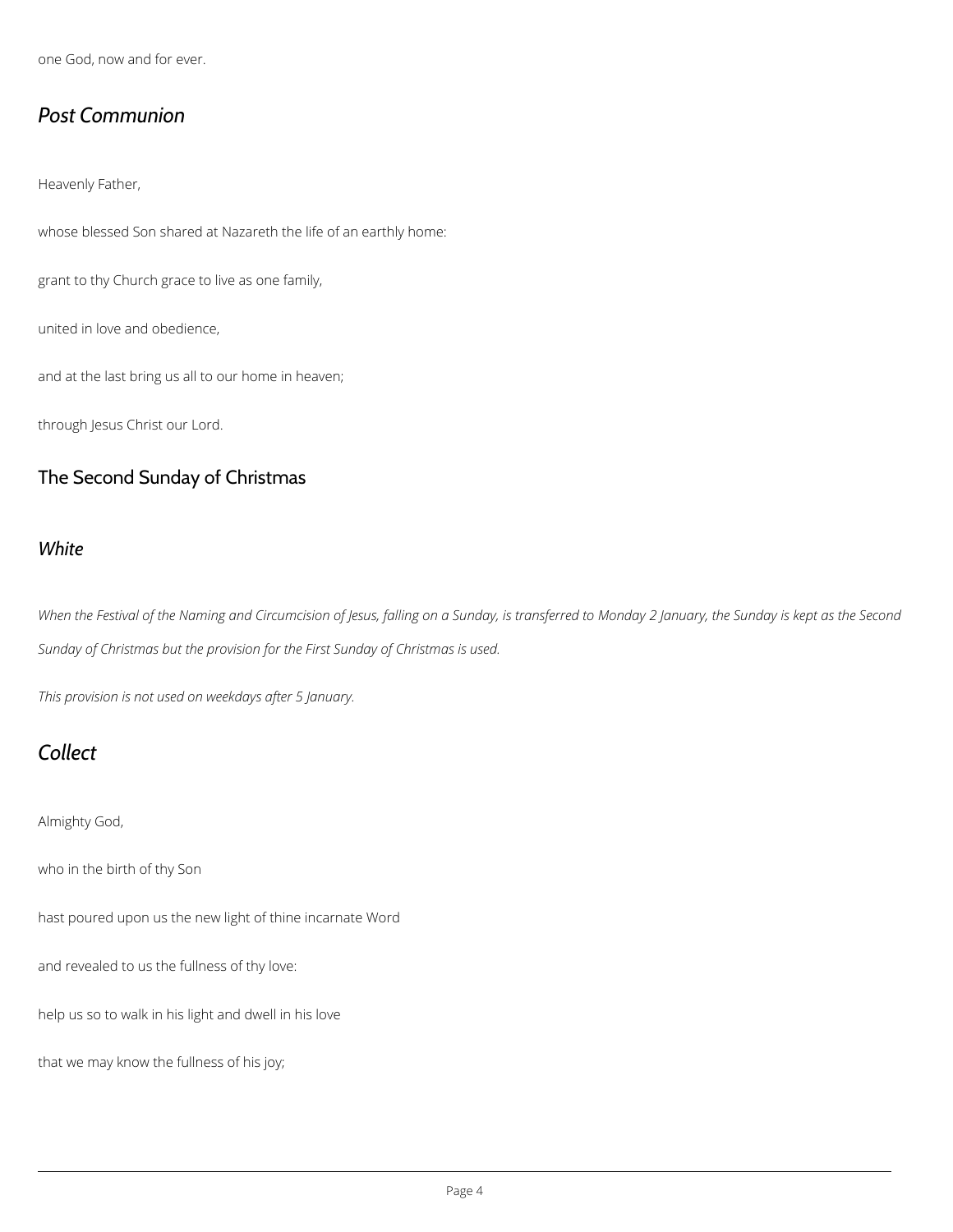one God, now and for ever.

# *Post Communion*

Heavenly Father,

whose blessed Son shared at Nazareth the life of an earthly home:

grant to thy Church grace to live as one family,

united in love and obedience,

and at the last bring us all to our home in heaven;

through Jesus Christ our Lord.

#### The Second Sunday of Christmas

#### *White*

*When the Festival of the Naming and Circumcision of Jesus, falling on a Sunday, is transferred to Monday 2 January, the Sunday is kept as the Second Sunday of Christmas but the provision for the First Sunday of Christmas is used.*

*This provision is not used on weekdays after 5 January.*

# *Collect*

Almighty God,

who in the birth of thy Son

and revealed to us the fullness of thy love:

help us so to walk in his light and dwell in his love

that we may know the fullness of his joy;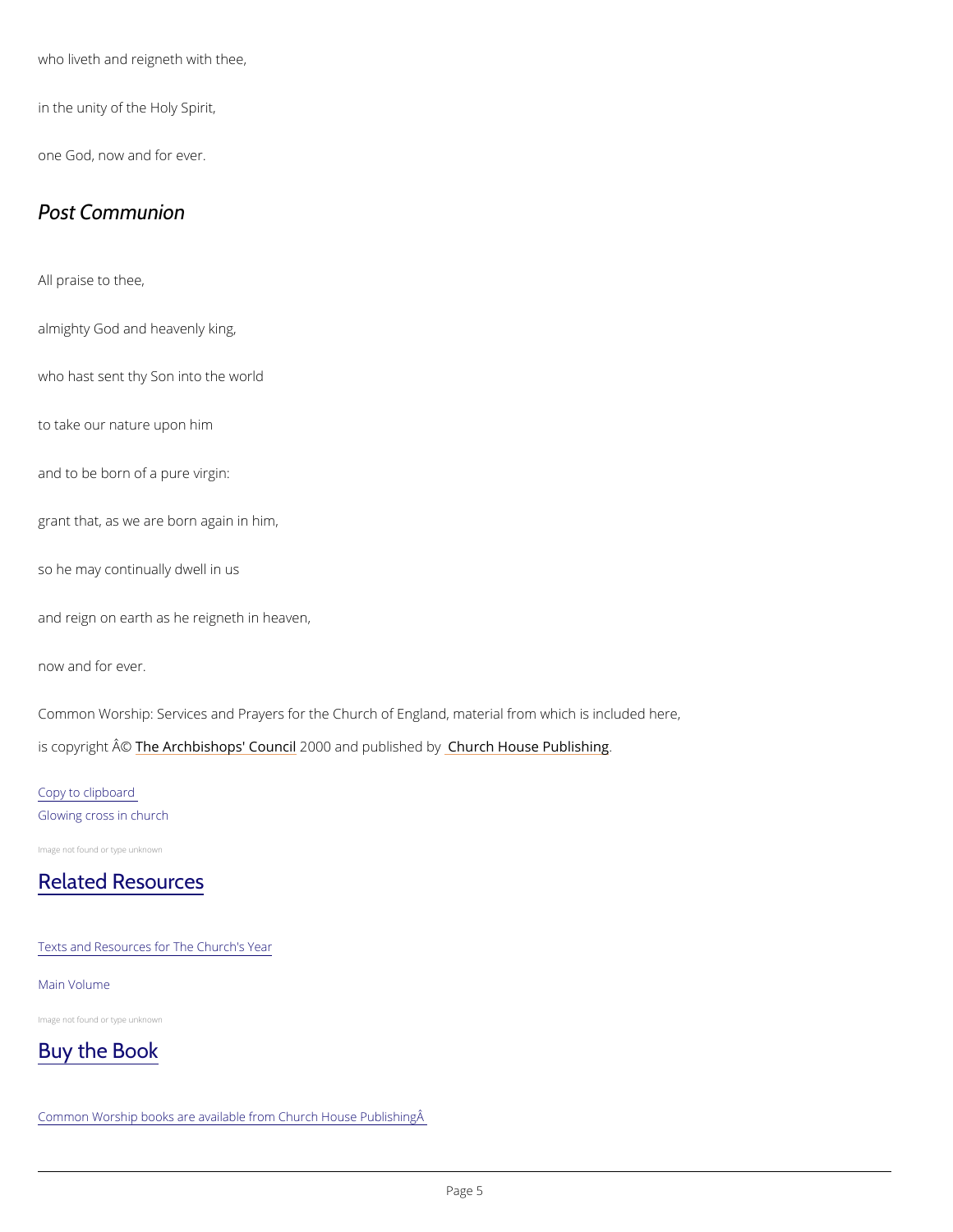who liveth and reigneth with thee,

in the unity of the Holy Spirit,

one God, now and for ever.

### Post Communion

All praise to thee,

almighty God and heavenly king,

who hast sent thy Son into the world

to take our nature upon him

and to be born of a pure virgin:

grant that, as we are born again in him,

so he may continually dwell in us

and reign on earth as he reigneth in heaven,

now and for ever.

Common Worship: Services and Prayers for the Church of England, material from which is inc is copyright  $\hat{\mathbb{A}}$  Oxerchbishops' 2000 Qun and publish held reby House Publishing

Copy to clipboard Glowing cross in church

Image not found or type unknown

#### [Related Resources](https://www.churchofengland.org/prayer-and-worship/worship-texts-and-resources/common-worship/churchs-year)

Texts and Resources for The Church's Year

Main Volume

Image not found or type unknown

[Buy the Book](https://www.chpublishing.co.uk/category/christian-books/common-worship-and-liturgy-1378)

Common Worship books are available from Church House Publishing